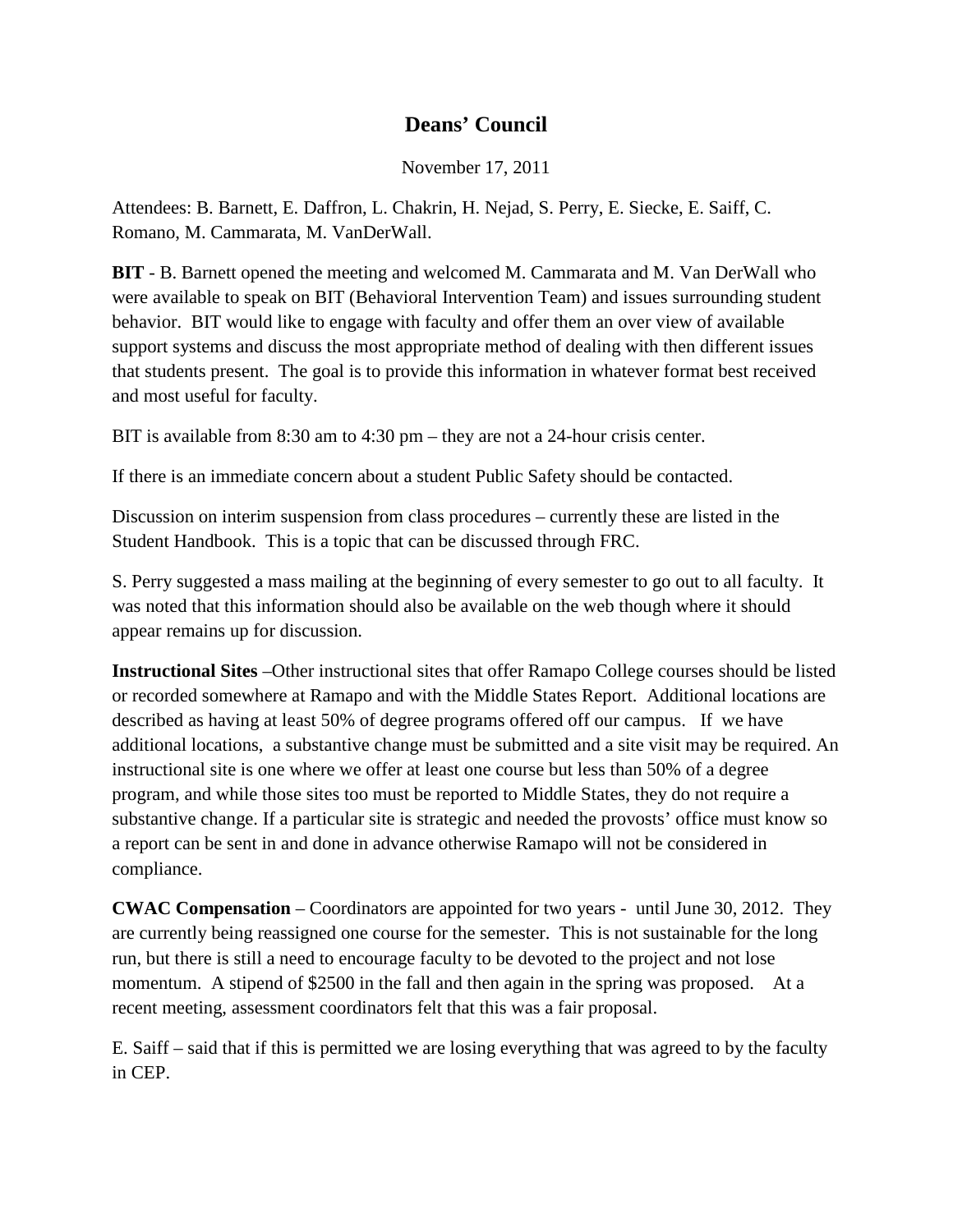## **Deans' Council**

November 17, 2011

Attendees: B. Barnett, E. Daffron, L. Chakrin, H. Nejad, S. Perry, E. Siecke, E. Saiff, C. Romano, M. Cammarata, M. VanDerWall.

**BIT** - B. Barnett opened the meeting and welcomed M. Cammarata and M. Van DerWall who were available to speak on BIT (Behavioral Intervention Team) and issues surrounding student behavior. BIT would like to engage with faculty and offer them an over view of available support systems and discuss the most appropriate method of dealing with then different issues that students present. The goal is to provide this information in whatever format best received and most useful for faculty.

BIT is available from 8:30 am to 4:30 pm – they are not a 24-hour crisis center.

If there is an immediate concern about a student Public Safety should be contacted.

Discussion on interim suspension from class procedures – currently these are listed in the Student Handbook. This is a topic that can be discussed through FRC.

S. Perry suggested a mass mailing at the beginning of every semester to go out to all faculty. It was noted that this information should also be available on the web though where it should appear remains up for discussion.

**Instructional Sites** –Other instructional sites that offer Ramapo College courses should be listed or recorded somewhere at Ramapo and with the Middle States Report. Additional locations are described as having at least 50% of degree programs offered off our campus. If we have additional locations, a substantive change must be submitted and a site visit may be required. An instructional site is one where we offer at least one course but less than 50% of a degree program, and while those sites too must be reported to Middle States, they do not require a substantive change. If a particular site is strategic and needed the provosts' office must know so a report can be sent in and done in advance otherwise Ramapo will not be considered in compliance.

**CWAC Compensation** – Coordinators are appointed for two years - until June 30, 2012. They are currently being reassigned one course for the semester. This is not sustainable for the long run, but there is still a need to encourage faculty to be devoted to the project and not lose momentum. A stipend of \$2500 in the fall and then again in the spring was proposed. At a recent meeting, assessment coordinators felt that this was a fair proposal.

E. Saiff – said that if this is permitted we are losing everything that was agreed to by the faculty in CEP.